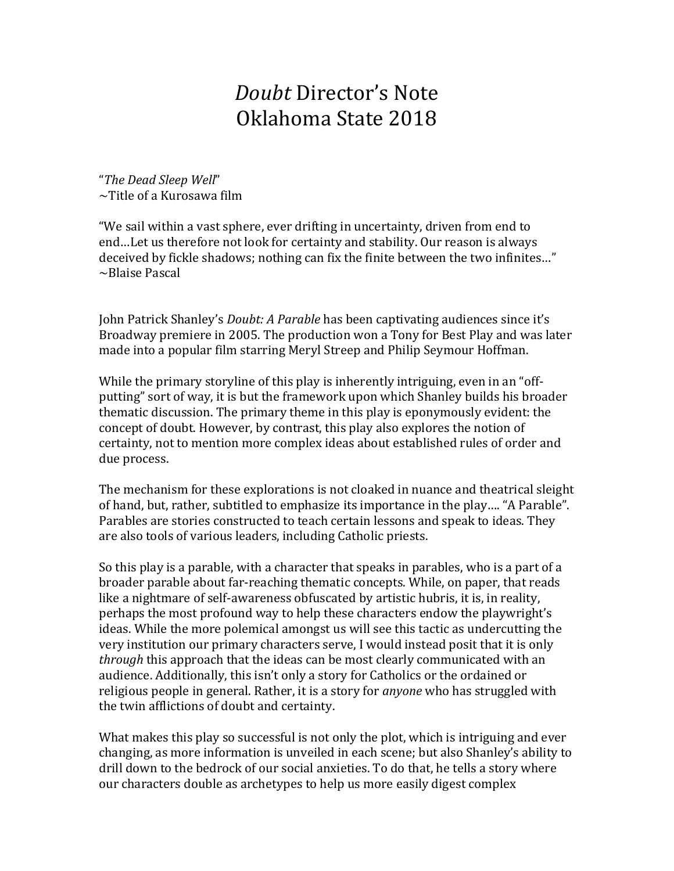## *Doubt* Director's Note Oklahoma State 2018

"*The Dead Sleep Well*" ~Title of a Kurosawa film

"We sail within a vast sphere, ever drifting in uncertainty, driven from end to end…Let us therefore not look for certainty and stability. Our reason is always deceived by fickle shadows; nothing can fix the finite between the two infinites…" ~Blaise Pascal

John Patrick Shanley's *Doubt: A Parable* has been captivating audiences since it's Broadway premiere in 2005. The production won a Tony for Best Play and was later made into a popular film starring Meryl Streep and Philip Seymour Hoffman.

While the primary storyline of this play is inherently intriguing, even in an "offputting" sort of way, it is but the framework upon which Shanley builds his broader thematic discussion. The primary theme in this play is eponymously evident: the concept of doubt. However, by contrast, this play also explores the notion of certainty, not to mention more complex ideas about established rules of order and due process.

The mechanism for these explorations is not cloaked in nuance and theatrical sleight of hand, but, rather, subtitled to emphasize its importance in the play…. "A Parable". Parables are stories constructed to teach certain lessons and speak to ideas. They are also tools of various leaders, including Catholic priests.

So this play is a parable, with a character that speaks in parables, who is a part of a broader parable about far-reaching thematic concepts. While, on paper, that reads like a nightmare of self-awareness obfuscated by artistic hubris, it is, in reality, perhaps the most profound way to help these characters endow the playwright's ideas. While the more polemical amongst us will see this tactic as undercutting the very institution our primary characters serve, I would instead posit that it is only *through* this approach that the ideas can be most clearly communicated with an audience. Additionally, this isn't only a story for Catholics or the ordained or religious people in general. Rather, it is a story for *anyone* who has struggled with the twin afflictions of doubt and certainty.

What makes this play so successful is not only the plot, which is intriguing and ever changing, as more information is unveiled in each scene; but also Shanley's ability to drill down to the bedrock of our social anxieties. To do that, he tells a story where our characters double as archetypes to help us more easily digest complex